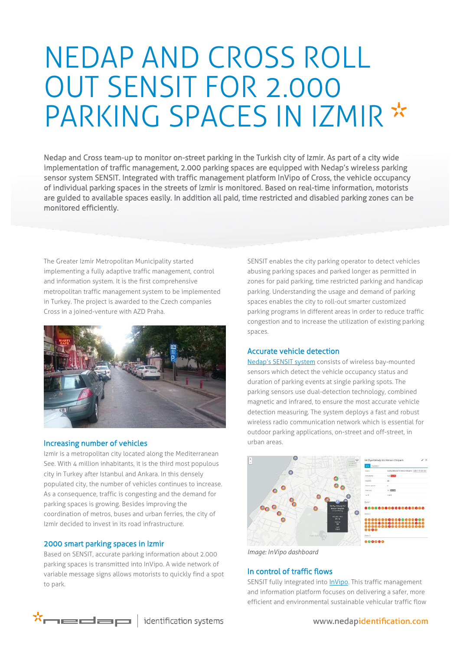# NEDAP AND CROSS ROLL OUT SENSIT FOR 2.000 PARKING SPACES IN IZMIR \*

Nedap and Cross team-up to monitor on-street parking in the Turkish city of Izmir. As part of a city wide implementation of traffic management, 2.000 parking spaces are equipped with Nedap's wireless parking sensor system SENSIT. Integrated with traffic management platform InVipo of Cross, the vehicle occupancy of individual parking spaces in the streets of Izmir is monitored. Based on real-time information, motorists are guided to available spaces easily. In addition all paid, time restricted and disabled parking zones can be monitored efficiently.

The Greater Izmir Metropolitan Municipality started implementing a fully adaptive traffic management, control and information system. It is the first comprehensive metropolitan traffic management system to be implemented in Turkey. The project is awarded to the Czech companies Cross in a joined-venture with AZD Praha.



#### Increasing number of vehicles

Izmir is a metropolitan city located along the Mediterranean See. With 4 million inhabitants, it is the third most populous city in Turkey after Istanbul and Ankara. In this densely populated city, the number of vehicles continues to increase. As a consequence, traffic is congesting and the demand for parking spaces is growing. Besides improving the coordination of metros, buses and urban ferries, the city of Izmir decided to invest in its road infrastructure.

#### 2000 smart parking spaces in Izmir

Based on SENSIT, accurate parking information about 2.000 parking spaces is transmitted into InVipo. A wide network of variable message signs allows motorists to quickly find a spot to park.

SENSIT enables the city parking operator to detect vehicles abusing parking spaces and parked longer as permitted in zones for paid parking, time restricted parking and handicap parking. Understanding the usage and demand of parking spaces enables the city to roll-out smarter customized parking programs in different areas in order to reduce traffic congestion and to increase the utilization of existing parking spaces.

## Accurate vehicle detection

[Nedap's SENSIT](http://www.nedapmobility.com/on-street-parking/products) system consists of wireless bay-mounted sensors which detect the vehicle occupancy status and duration of parking events at single parking spots. The parking sensors use dual-detection technology, combined magnetic and infrared, to ensure the most accurate vehicle detection measuring. The system deploys a fast and robust wireless radio communication network which is essential for outdoor parking applications, on-street and off-street, in urban areas.



*Image: InVipo dashboard*

## In control of traffic flows

SENSIT fully integrated into *InVipo*. This traffic management and information platform focuses on delivering a safer, more efficient and environmental sustainable vehicular traffic flow